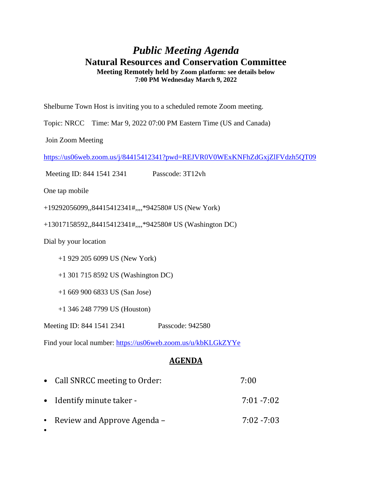## *Public Meeting Agenda* **Natural Resources and Conservation Committee Meeting Remotely held by Zoom platform: see details below 7:00 PM Wednesday March 9, 2022**

Shelburne Town Host is inviting you to a scheduled remote Zoom meeting.

Topic: NRCC Time: Mar 9, 2022 07:00 PM Eastern Time (US and Canada)

Join Zoom Meeting

<https://us06web.zoom.us/j/84415412341?pwd=REJVR0V0WExKNFhZdGxjZlFVdzh5QT09>

Meeting ID: 844 1541 2341 Passcode: 3T12vh

One tap mobile

+19292056099,,84415412341#,,,,\*942580# US (New York)

+13017158592,,84415412341#,,,,\*942580# US (Washington DC)

Dial by your location

+1 929 205 6099 US (New York)

+1 301 715 8592 US (Washington DC)

+1 669 900 6833 US (San Jose)

+1 346 248 7799 US (Houston)

Meeting ID: 844 1541 2341 Passcode: 942580

Find your local number:<https://us06web.zoom.us/u/kbKLGkZYYe>

## **AGENDA**

| • Call SNRCC meeting to Order: | 7:00          |
|--------------------------------|---------------|
| • Identify minute taker -      | $7:01 - 7:02$ |
| • Review and Approve Agenda –  | $7:02 - 7:03$ |
|                                |               |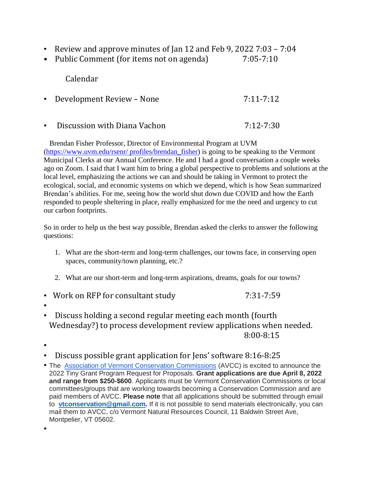- Review and approve minutes of Jan 12 and Feb 9, 2022 7:03 7:04
- Public Comment (for items not on agenda) 7:05-7:10

Calendar

- Development Review None 7:11-7:12
- Discussion with Diana Vachon **7:12-7:30**

 Brendan Fisher Professor, Director of Environmental Program at UVM [\(https://www.uvm.edu/rsenr/ profiles/brendan\\_fisher\)](https://www.uvm.edu/rsenr/profiles/brendan_fisher) is going to be speaking to the Vermont Municipal Clerks at our Annual Conference. He and I had a good conversation a couple weeks ago on Zoom. I said that I want him to bring a global perspective to problems and solutions at the local level, emphasizing the actions we can and should be taking in Vermont to protect the ecological, social, and economic systems on which we depend, which is how Sean summarized Brendan's abilities. For me, seeing how the world shut down due COVID and how the Earth responded to people sheltering in place, really emphasized for me the need and urgency to cut our carbon footprints.

So in order to help us the best way possible, Brendan asked the clerks to answer the following questions:

- 1. What are the short-term and long-term challenges, our towns face, in conserving open spaces, community/town planning, etc.?
- 2. What are our short-term and long-term aspirations, dreams, goals for our towns?
- Work on RFP for consultant study 7:31-7:59
- •
- Discuss holding a second regular meeting each month (fourth Wednesday?) to process development review applications when needed. 8:00-8:15
- •

•

- Discuss possible grant application for Jens' software 8:16-8:25
- The [Association of Vermont Conservation Commissions](https://vtconservation.com/) (AVCC) is excited to announce the 2022 Tiny Grant Program Request for Proposals. **Grant applications are due April 8, 2022 and range from \$250-\$600**. Applicants must be Vermont Conservation Commissions or local committees/groups that are working towards becoming a Conservation Commission and are paid members of AVCC. **Please note** that all applications should be submitted through email to **[vtconservation@gmail.com.](mailto:vtconservation@gmail.com)** If it is not possible to send materials electronically, you can mail them to AVCC, c/o Vermont Natural Resources Council, 11 Baldwin Street Ave, Montpelier, VT 05602.